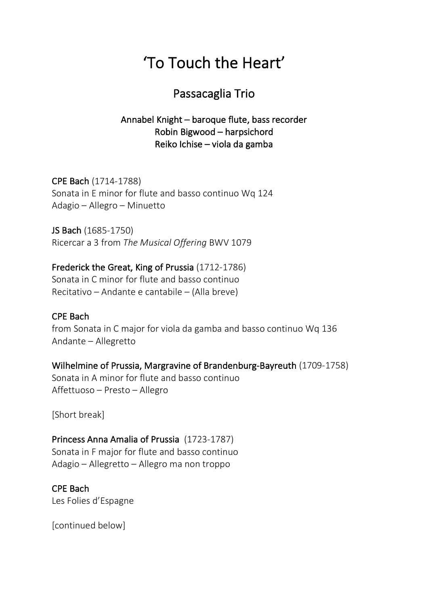# 'To Touch the Heart'

### Passacaglia Trio

#### Annabel Knight – baroque flute, bass recorder Robin Bigwood – harpsichord Reiko Ichise – viola da gamba

CPE Bach (1714-1788) Sonata in E minor for flute and basso continuo Wq 124 Adagio – Allegro – Minuetto

JS Bach (1685-1750) Ricercar a 3 from *The Musical Offering* BWV 1079

## Frederick the Great, King of Prussia (1712-1786)

Sonata in C minor for flute and basso continuo Recitativo – Andante e cantabile – (Alla breve)

#### CPE Bach

from Sonata in C major for viola da gamba and basso continuo Wq 136 Andante – Allegretto

#### Wilhelmine of Prussia, Margravine of Brandenburg-Bayreuth (1709-1758) Sonata in A minor for flute and basso continuo Affettuoso – Presto – Allegro

[Short break]

#### Princess Anna Amalia of Prussia (1723-1787) Sonata in F major for flute and basso continuo Adagio – Allegretto – Allegro ma non troppo

#### CPE Bach

Les Folies d'Espagne

[continued below]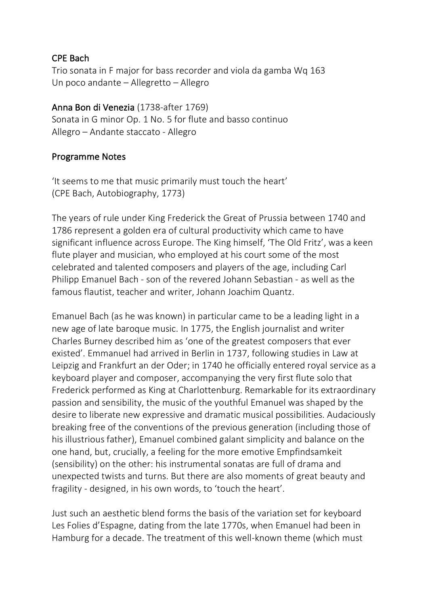#### CPE Bach

Trio sonata in F major for bass recorder and viola da gamba Wq 163 Un poco andante – Allegretto – Allegro

#### Anna Bon di Venezia (1738-after 1769)

Sonata in G minor Op. 1 No. 5 for flute and basso continuo Allegro – Andante staccato - Allegro

#### Programme Notes

'It seems to me that music primarily must touch the heart' (CPE Bach, Autobiography, 1773)

The years of rule under King Frederick the Great of Prussia between 1740 and 1786 represent a golden era of cultural productivity which came to have significant influence across Europe. The King himself, 'The Old Fritz', was a keen flute player and musician, who employed at his court some of the most celebrated and talented composers and players of the age, including Carl Philipp Emanuel Bach - son of the revered Johann Sebastian - as well as the famous flautist, teacher and writer, Johann Joachim Quantz.

Emanuel Bach (as he was known) in particular came to be a leading light in a new age of late baroque music. In 1775, the English journalist and writer Charles Burney described him as 'one of the greatest composers that ever existed'. Emmanuel had arrived in Berlin in 1737, following studies in Law at Leipzig and Frankfurt an der Oder; in 1740 he officially entered royal service as a keyboard player and composer, accompanying the very first flute solo that Frederick performed as King at Charlottenburg. Remarkable for its extraordinary passion and sensibility, the music of the youthful Emanuel was shaped by the desire to liberate new expressive and dramatic musical possibilities. Audaciously breaking free of the conventions of the previous generation (including those of his illustrious father), Emanuel combined galant simplicity and balance on the one hand, but, crucially, a feeling for the more emotive Empfindsamkeit (sensibility) on the other: his instrumental sonatas are full of drama and unexpected twists and turns. But there are also moments of great beauty and fragility - designed, in his own words, to 'touch the heart'.

Just such an aesthetic blend forms the basis of the variation set for keyboard Les Folies d'Espagne, dating from the late 1770s, when Emanuel had been in Hamburg for a decade. The treatment of this well-known theme (which must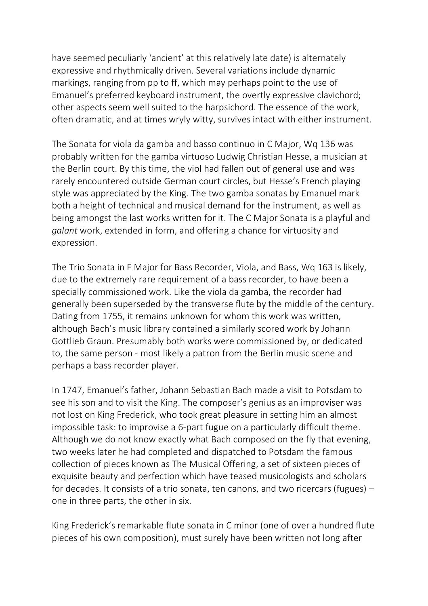have seemed peculiarly 'ancient' at this relatively late date) is alternately expressive and rhythmically driven. Several variations include dynamic markings, ranging from pp to ff, which may perhaps point to the use of Emanuel's preferred keyboard instrument, the overtly expressive clavichord; other aspects seem well suited to the harpsichord. The essence of the work, often dramatic, and at times wryly witty, survives intact with either instrument.

The Sonata for viola da gamba and basso continuo in C Major, Wq 136 was probably written for the gamba virtuoso Ludwig Christian Hesse, a musician at the Berlin court. By this time, the viol had fallen out of general use and was rarely encountered outside German court circles, but Hesse's French playing style was appreciated by the King. The two gamba sonatas by Emanuel mark both a height of technical and musical demand for the instrument, as well as being amongst the last works written for it. The C Major Sonata is a playful and *galant* work, extended in form, and offering a chance for virtuosity and expression.

The Trio Sonata in F Major for Bass Recorder, Viola, and Bass, Wq 163 is likely, due to the extremely rare requirement of a bass recorder, to have been a specially commissioned work. Like the viola da gamba, the recorder had generally been superseded by the transverse flute by the middle of the century. Dating from 1755, it remains unknown for whom this work was written, although Bach's music library contained a similarly scored work by Johann Gottlieb Graun. Presumably both works were commissioned by, or dedicated to, the same person - most likely a patron from the Berlin music scene and perhaps a bass recorder player.

In 1747, Emanuel's father, Johann Sebastian Bach made a visit to Potsdam to see his son and to visit the King. The composer's genius as an improviser was not lost on King Frederick, who took great pleasure in setting him an almost impossible task: to improvise a 6-part fugue on a particularly difficult theme. Although we do not know exactly what Bach composed on the fly that evening, two weeks later he had completed and dispatched to Potsdam the famous collection of pieces known as The Musical Offering, a set of sixteen pieces of exquisite beauty and perfection which have teased musicologists and scholars for decades. It consists of a trio sonata, ten canons, and two ricercars (fugues) – one in three parts, the other in six.

King Frederick's remarkable flute sonata in C minor (one of over a hundred flute pieces of his own composition), must surely have been written not long after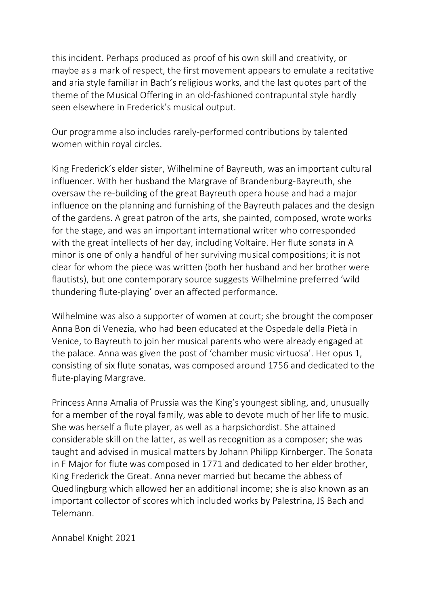this incident. Perhaps produced as proof of his own skill and creativity, or maybe as a mark of respect, the first movement appears to emulate a recitative and aria style familiar in Bach's religious works, and the last quotes part of the theme of the Musical Offering in an old-fashioned contrapuntal style hardly seen elsewhere in Frederick's musical output.

Our programme also includes rarely-performed contributions by talented women within royal circles.

King Frederick's elder sister, Wilhelmine of Bayreuth, was an important cultural influencer. With her husband the Margrave of Brandenburg-Bayreuth, she oversaw the re-building of the great Bayreuth opera house and had a major influence on the planning and furnishing of the Bayreuth palaces and the design of the gardens. A great patron of the arts, she painted, composed, wrote works for the stage, and was an important international writer who corresponded with the great intellects of her day, including Voltaire. Her flute sonata in A minor is one of only a handful of her surviving musical compositions; it is not clear for whom the piece was written (both her husband and her brother were flautists), but one contemporary source suggests Wilhelmine preferred 'wild thundering flute-playing' over an affected performance.

Wilhelmine was also a supporter of women at court; she brought the composer Anna Bon di Venezia, who had been educated at the Ospedale della Pietà in Venice, to Bayreuth to join her musical parents who were already engaged at the palace. Anna was given the post of 'chamber music virtuosa'. Her opus 1, consisting of six flute sonatas, was composed around 1756 and dedicated to the flute-playing Margrave.

Princess Anna Amalia of Prussia was the King's youngest sibling, and, unusually for a member of the royal family, was able to devote much of her life to music. She was herself a flute player, as well as a harpsichordist. She attained considerable skill on the latter, as well as recognition as a composer; she was taught and advised in musical matters by Johann Philipp Kirnberger. The Sonata in F Major for flute was composed in 1771 and dedicated to her elder brother, King Frederick the Great. Anna never married but became the abbess of Quedlingburg which allowed her an additional income; she is also known as an important collector of scores which included works by Palestrina, JS Bach and Telemann.

Annabel Knight 2021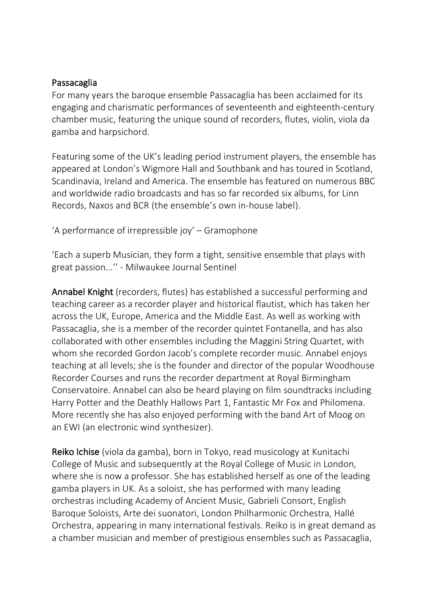#### Passacaglia

For many years the baroque ensemble Passacaglia has been acclaimed for its engaging and charismatic performances of seventeenth and eighteenth-century chamber music, featuring the unique sound of recorders, flutes, violin, viola da gamba and harpsichord.

Featuring some of the UK's leading period instrument players, the ensemble has appeared at London's Wigmore Hall and Southbank and has toured in Scotland, Scandinavia, Ireland and America. The ensemble has featured on numerous BBC and worldwide radio broadcasts and has so far recorded six albums, for Linn Records, Naxos and BCR (the ensemble's own in-house label).

'A performance of irrepressible joy' – Gramophone

'Each a superb Musician, they form a tight, sensitive ensemble that plays with great passion...'' - Milwaukee Journal Sentinel

Annabel Knight (recorders, flutes) has established a successful performing and teaching career as a recorder player and historical flautist, which has taken her across the UK, Europe, America and the Middle East. As well as working with Passacaglia, she is a member of the recorder quintet Fontanella, and has also collaborated with other ensembles including the Maggini String Quartet, with whom she recorded Gordon Jacob's complete recorder music. Annabel enjoys teaching at all levels; she is the founder and director of the popular Woodhouse Recorder Courses and runs the recorder department at Royal Birmingham Conservatoire. Annabel can also be heard playing on film soundtracks including Harry Potter and the Deathly Hallows Part 1, Fantastic Mr Fox and Philomena. More recently she has also enjoyed performing with the band Art of Moog on an EWI (an electronic wind synthesizer).

Reiko Ichise (viola da gamba), born in Tokyo, read musicology at Kunitachi College of Music and subsequently at the Royal College of Music in London, where she is now a professor. She has established herself as one of the leading gamba players in UK. As a soloist, she has performed with many leading orchestras including Academy of Ancient Music, Gabrieli Consort, English Baroque Soloists, Arte dei suonatori, London Philharmonic Orchestra, Hallé Orchestra, appearing in many international festivals. Reiko is in great demand as a chamber musician and member of prestigious ensembles such as Passacaglia,